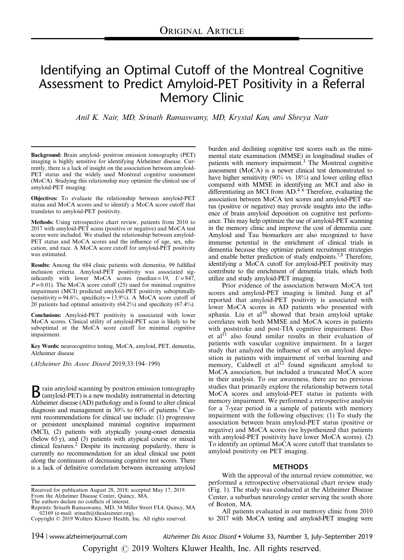# Identifying an Optimal Cutoff of the Montreal Cognitive Assessment to Predict Amyloid-PET Positivity in a Referral Memory Clinic

Anil K. Nair, MD, Srinath Ramaswamy, MD, Krystal Kan, and Shreya Nair

Background: Brain amyloid- positron emission tomography (PET) imaging is highly sensitive for identifying Alzheimer disease. Currently, there is a lack of insight on the association between amyloid-PET status and the widely used Montreal cognitive assessment (MoCA). Studying this relationship may optimize the clinical use of amyloid-PET imaging.

Objectives: To evaluate the relationship between amyloid-PET status and MoCA scores and to identify a MoCA score cutoff that translates to amyloid-PET positivity.

Methods: Using retrospective chart review, patients from 2010 to 2017 with amyloid-PET scans (positive or negative) and MoCA test scores were included. We studied the relationship between amyloid-PET status and MoCA scores and the influence of age, sex, education, and race. A MoCA score cutoff for amyloid-PET positivity was estimated.

Results: Among the 684 clinic patients with dementia, 99 fulfilled inclusion criteria. Amyloid-PET positivity was associated significantly with lower MoCA scores (median=19,  $U = 847$ ,  $P=0.01$ ). The MoCA score cutoff (25) used for minimal cognitive impairment (MCI) predicted amyloid-PET positivity suboptimally (sensitivity =  $94.6\%$ , specificity = 13.9%). A MoCA score cutoff of 20 patients had optimal sensitivity (64.2%) and specificity (67.4%).

Conclusions: Amyloid-PET positivity is associated with lower MoCA scores. Clinical utility of amyloid-PET scan is likely to be suboptimal at the MoCA score cutoff for minimal cognitive impairment.

Key Words: neurocognitive testing, MoCA, amyloid, PET, dementia, Alzheimer disease

(Alzheimer Dis Assoc Disord 2019;33:194–199)

 $\bf{B}$  rain amyloid scanning by positron emission tomography<br>(amyloid-PET) is a new modality instrumental in detecting<br>(AD) orthology of is found to the eliminate Alzheimer disease (AD) pathology and is found to alter clinical diagnosis and management in 30% to 60% of patients.[1](#page-4-0) Current recommendations for clinical use include: (1) progressive or persistent unexplained minimal cognitive impairment (MCI), (2) patients with atypically young-onset dementia (below 65 y), and (3) patients with atypical course or mixed clinical features[.2](#page-4-0) Despite its increasing popularity, there is currently no recommendation for an ideal clinical use point along the continuum of decreasing cognitive test scores. There is a lack of definitive correlation between increasing amyloid

Reprints: Srinath Ramaswamy, MD, 54 Miller Street FL4, Quincy, MA 02169 (e-mail: [srinath@thealzcenter.org\)](mailto:srinath@thealzcenter.org).

burden and declining cognitive test scores such as the minimental state examination (MMSE) in longitudinal studies of patients with memory impairment.[3](#page-4-0) The Montreal cognitive assessment (MoCA) is a newer clinical test demonstrated to have higher sensitivity (90% vs. 18%) and lower ceiling effect compared with MMSE in identifying an MCI and also in differentiating an MCI from AD.<sup>4–[6](#page-4-0)</sup> Therefore, evaluating the association between MoCA test scores and amyloid-PET status (positive or negative) may provide insights into the influence of brain amyloid deposition on cognitive test performance. This may help optimize the use of amyloid-PET scanning in the memory clinic and improve the cost of dementia care. Amyloid and Tau biomarkers are also recognized to have immense potential in the enrichment of clinical trials in dementia because they optimize patient recruitment strategies and enable better prediction of study endpoints[.7,8](#page-5-0) Therefore, identifying a MoCA cutoff for amyloid-PET positivity may contribute to the enrichment of dementia trials, which both utilize and study amyloid-PET imaging.

Prior evidence of the association between MoCA test scores and amyloid-PET imaging is limited. Jung et  $al<sup>9</sup>$  $al<sup>9</sup>$  $al<sup>9</sup>$ reported that amyloid-PET positivity is associated with lower MoCA scores in AD patients who presented with aphasia. Liu et  $al^{10}$  $al^{10}$  $al^{10}$  showed that brain amyloid uptake correlates with both MMSE and MoCA scores in patients with poststroke and post-TIA cognitive impairment. Dao et al<sup>[11](#page-5-0)</sup> also found similar results in their evaluation of patients with vascular cognitive impairment. In a larger study that analyzed the influence of sex on amyloid deposition in patients with impairment of verbal learning and memory, Caldwell et  $al^{12}$  $al^{12}$  $al^{12}$  found significant amyloid to MoCA association, but included a truncated MoCA score in their analysis. To our awareness, there are no previous studies that primarily explore the relationship between total MoCA scores and amyloid-PET status in patients with memory impairment. We performed a retrospective analysis for a 7-year period in a sample of patients with memory impairment with the following objectives: (1) To study the association between brain amyloid-PET status (positive or negative) and MoCA scores (we hypothesized that patients with amyloid-PET positivity have lower MoCA scores). (2) To identify an optimal MoCA score cutoff that translates to amyloid positivity on PET imaging.

# **METHODS**

With the approval of the internal review committee, we performed a retrospective observational chart review study ([Fig. 1](#page-1-0)). The study was conducted at the Alzheimer Disease Center, a suburban neurology center serving the south shore of Boston, MA.

All patients evaluated in our memory clinic from 2010 to 2017 with MoCA testing and amyloid-PET imaging were

194 | www.alzheimerjournal.com Alzheimer Dis Assoc Disord Volume 33, Number 3, July–September 2019

Received for publication August 28, 2018; accepted May 17, 2019. From the Alzheimer Disease Center, Quincy, MA. The authors declare no conflicts of interest.

Copyright © 2019 Wolters Kluwer Health, Inc. All rights reserved.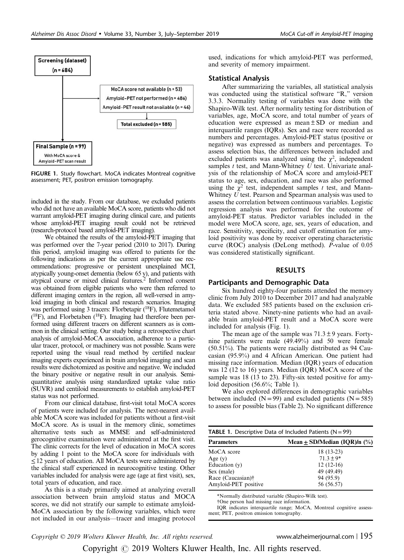<span id="page-1-0"></span>

FIGURE 1. Study flowchart. MoCA indicates Montreal cognitive assessment; PET, positron emission tomography.

included in the study. From our database, we excluded patients who did not have an available MoCA score, patients who did not warrant amyloid-PET imaging during clinical care, and patients whose amyloid-PET imaging result could not be retrieved (research-protocol based amyloid-PET imaging).

We obtained the results of the amyloid-PET imaging that was performed over the 7-year period (2010 to 2017). During this period, amyloid imaging was offered to patients for the following indications as per the current appropriate use recommendations: progressive or persistent unexplained MCI, atypically young-onset dementia (below 65 y), and patients with atypical course or mixed clinical features.<sup>2</sup> Informed consent was obtained from eligible patients who were then referred to different imaging centers in the region, all well-versed in amyloid imaging in both clinical and research scenarios. Imaging was performed using 3 tracers: Florbetapir (<sup>18</sup>F), Flutemetamol ( 18F), and Florbetaben (18F). Imaging had therefore been performed using different tracers on different scanners as is common in the clinical setting. Our study being a retrospective chart analysis of amyloid-MoCA association, adherence to a particular tracer, protocol, or machinery was not possible. Scans were reported using the visual read method by certified nuclear imaging experts experienced in brain amyloid imaging and scan results were dichotomized as positive and negative. We included the binary positive or negative result in our analysis. Semiquantitative analysis using standardized uptake value ratio (SUVR) and centiloid measurements to establish amyloid-PET status was not performed.

From our clinical database, first-visit total MoCA scores of patients were included for analysis. The next-nearest available MoCA score was included for patients without a first-visit MoCA score. As is usual in the memory clinic, sometimes alternative tests such as MMSE and self-administered gerocognitive examination were administered at the first visit. The clinic corrects for the level of education in MoCA scores by adding 1 point to the MoCA score for individuals with ≤12 years of education. All MoCA tests were administered by the clinical staff experienced in neurocognitive testing. Other variables included for analysis were age (age at first visit), sex, total years of education, and race.

As this is a study primarily aimed at analyzing overall association between brain amyloid status and MOCA scores, we did not stratify our sample to estimate amyloid-MoCA association by the following variables, which were not included in our analysis—tracer and imaging protocol used, indications for which amyloid-PET was performed, and severity of memory impairment.

#### Statistical Analysis

After summarizing the variables, all statistical analysis was conducted using the statistical software "R," version 3.3.3. Normality testing of variables was done with the Shapiro-Wilk test. After normality testing for distribution of variables, age, MoCA score, and total number of years of education were expressed as mean  $\pm$  SD or median and interquartile ranges (IQRs). Sex and race were recorded as numbers and percentages. Amyloid-PET status (positive or negative) was expressed as numbers and percentages. To assess selection bias, the differences between included and excluded patients was analyzed using the  $\chi^2$ , independent samples  $t$  test, and Mann-Whitney  $U$  test. Univariate analysis of the relationship of MoCA score and amyloid-PET status to age, sex, education, and race was also performed using the  $\chi^2$  test, independent samples t test, and Mann-Whitney U test. Pearson and Spearman analysis was used to assess the correlation between continuous variables. Logistic regression analysis was performed for the outcome of amyloid-PET status. Predictor variables included in the model were MoCA score, age, sex, years of education, and race. Sensitivity, specificity, and cutoff estimation for amyloid positivity was done by receiver operating characteristic curve (ROC) analysis (DeLong method). P-value of 0.05 was considered statistically significant.

### RESULTS

# Participants and Demographic Data

Six hundred eighty-four patients attended the memory clinic from July 2010 to December 2017 and had analyzable data. We excluded 585 patients based on the exclusion criteria stated above. Ninety-nine patients who had an available brain amyloid-PET result and a MoCA score were included for analysis (Fig. 1).

The mean age of the sample was  $71.3 \pm 9$  years. Fortynine patients were male (49.49%) and 50 were female (50.51%). The patients were racially distributed as 94 Caucasian (95.9%) and 4 African American. One patient had missing race information. Median (IQR) years of education was 12 (12 to 16) years. Median (IQR) MoCA score of the sample was 18 (13 to 23). Fifty-six tested positive for amyloid deposition (56.6%; Table 1).

We also explored differences in demographic variables between included ( $N = 99$ ) and excluded patients ( $N = 585$ ) to assess for possible bias [\(Table 2\)](#page-2-0). No significant difference

| <b>TABLE 1.</b> Descriptive Data of Included Patients ( $N = 99$ ) |                                  |  |  |  |
|--------------------------------------------------------------------|----------------------------------|--|--|--|
| <b>Parameters</b>                                                  | Mean $\pm$ SD/Median (IQR)/n (%) |  |  |  |
| MoCA score                                                         | $18(13-23)$                      |  |  |  |
| Age $(y)$                                                          | $71.3 \pm 9*$                    |  |  |  |
| Education $(v)$                                                    | $12(12-16)$                      |  |  |  |
| Sex (male)                                                         | 49 (49.49)                       |  |  |  |
| Race (Caucasian)†                                                  | 94 (95.9)                        |  |  |  |
| Amyloid-PET positive                                               | 56 (56.57)                       |  |  |  |

\*Normally distributed variable (Shapiro-Wilk test).

†One person had missing race information.

IQR indicates interquartile range; MoCA, Montreal cognitive assessment; PET, positron emission tomography.

Copyright © 2019 Wolters Kluwer Health, Inc. All rights reserved. www.alzheimerjournal.com | 195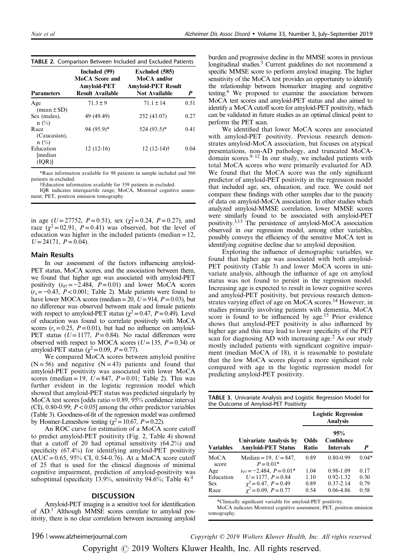<span id="page-2-0"></span>

| <b>TABLE 2.</b> Comparison Between Included and Excluded Patients |                                                                                  |                                                                                    |      |  |  |  |
|-------------------------------------------------------------------|----------------------------------------------------------------------------------|------------------------------------------------------------------------------------|------|--|--|--|
| <b>Parameters</b>                                                 | Included (99)<br>MoCA Score and<br><b>Amyloid-PET</b><br><b>Result Available</b> | Excluded (585)<br>MoCA and/or<br><b>Amyloid-PET Result</b><br><b>Not Available</b> | P    |  |  |  |
| Age<br>$(\text{mean} \pm \text{SD})$                              | $71.3 \pm 9$                                                                     | $71.1 \pm 14$                                                                      | 0.51 |  |  |  |
| Sex (males),<br>$n \ (\%)$                                        | 49 (49.49)                                                                       | 252 (43.07)                                                                        | 0.27 |  |  |  |
| <b>Race</b><br>(Caucasian).<br>$n \ (\%)$                         | 94 (95.9)*                                                                       | $524(93.5)^*$                                                                      | 0.41 |  |  |  |
| Education<br>[median<br>(IOR)                                     | $12(12-16)$                                                                      | $12(12-14)$ †                                                                      | 0.04 |  |  |  |

\*Race information available for 98 patients in sample included and 560 patients in excluded.

†Education information available for 559 patients in excluded. IQR indicates interquartile range; MoCA, Montreal cognitive assessment; PET, positron emission tomography.

in age ( $U = 27752$ ,  $P = 0.51$ ), sex ( $\chi_1^2 = 0.24$ ,  $P = 0.27$ ), and race  $(\chi^2 = 02.91, P = 0.41)$  was observed, but the level of education was higher in the included patients (median  $=12$ ,  $U = 24171$ ,  $P = 0.04$ ).

#### Main Results

In our assessment of the factors influencing amyloid-PET status, MoCA scores, and the association between them, we found that higher age was associated with amyloid-PET positivity  $(t_{97}=-2.484, P=0.01)$  and lower MoCA scores  $(r<sub>s</sub>=-0.43, P<0.001$ ; Table 2). Male patients were found to have lower MOCA scores (median = 20,  $U=914$ ,  $P=0.03$ ), but no difference was observed between male and female patients with respect to amyloid-PET status ( $\chi^2$  = 0.47, P = 0.49). Level of education was found to correlate positively with MoCA scores  $(r_s=0.25, P=0.01)$ , but had no influence on amyloid-PET status ( $U=1177$ ,  $P=0.84$ ). No racial differences were observed with respect to MOCA scores ( $U=135$ ,  $P=0.34$ ) or amyloid-PET status ( $\chi^2$  = 0.09, P = 0.77).

We compared MoCA scores between amyloid positive  $(N = 56)$  and negative  $(N = 43)$  patients and found that amyloid-PET positivity was associated with lower MoCA scores (median = 19,  $U = 847$ ,  $P = 0.01$ ; Table 2). This was further evident in the logistic regression model which showed that amyloid-PET status was predicted singularly by MoCA test scores [odds ratio=0.89, 95% confidence interval (CI), 0.80-0.99;  $P < 0.05$ ] among the other predictor variables (Table 3). Goodness-of-fit of the regression model was confirmed by Hosmer-Lemeshow testing ( $\chi^2$  = 10.67, P = 0.22).

An ROC curve for estimation of a MoCA score cutoff to predict amyloid-PET positivity [\(Fig. 2](#page-3-0), [Table 4\)](#page-3-0) showed that a cutoff of 20 had optimal sensitivity (64.2%) and specificity (67.4%) for identifying amyloid-PET positivity  $(AUC = 0.65, 95\% CI, 0.54-0.76)$ . At a MoCA score cutoff of 25 that is used for the clinical diagnosis of minimal cognitive impairment, prediction of amyloid-positivity was suboptimal (specificity 13.9%, sensitivity 94.6%; [Table 4](#page-3-0)).<sup>[4](#page-4-0)</sup>

# **DISCUSSION**

Amyloid-PET imaging is a sensitive tool for identification of  $AD$ <sup>[1](#page-4-0)</sup>. Although MMSE scores correlate to amyloid positivity, there is no clear correlation between increasing amyloid

burden and progressive decline in the MMSE scores in previous longitudinal studies.<sup>3</sup> Current guidelines do not recommend a specific MMSE score to perform amyloid imaging. The higher sensitivity of the MoCA test provides an opportunity to identify the relationship between biomarker imaging and cognitive testing[.4](#page-4-0) We proposed to examine the association between MoCA test scores and amyloid-PET status and also aimed to identify a MoCA cutoff score for amyloid-PET positivity, which can be validated in future studies as an optimal clinical point to perform the PET scan.

We identified that lower MoCA scores are associated with amyloid-PET positivity. Previous research demonstrates amyloid-MoCA association, but focuses on atypical presentations, non-AD pathology, and truncated MoCAdomain scores. $9-12$  $9-12$  In our study, we included patients with total MoCA scores who were primarily evaluated for AD. We found that the MoCA score was the only significant predictor of amyloid-PET positivity in the regression model that included age, sex, education, and race. We could not compare these findings with other samples due to the paucity of data on amyloid-MoCA association. In other studies which analyzed amyloid-MMSE correlation, lower MMSE scores were similarly found to be associated with amyloid-PET positivity.[3,13](#page-4-0) The persistence of amyloid-MoCA association observed in our regression model, among other variables, possibly conveys the efficiency of the sensitive MoCA test in identifying cognitive decline due to amyloid deposition.

Exploring the influence of demographic variables, we found that higher age was associated with both amyloid-PET positivity (Table 3) and lower MoCA scores in univariate analysis, although the influence of age on amyloid status was not found to persist in the regression model. Increasing age is expected to result in lower cognitive scores and amyloid-PET positivity, but previous research demon-strates varying effect of age on MoCA scores.<sup>[14](#page-5-0)</sup> However, in studies primarily involving patients with dementia, MoCA score is found to be influenced by age.<sup>[15](#page-5-0)</sup> Prior evidence shows that amyloid-PET positivity is also influenced by higher age and this may lead to lower specificity of the PET scan for diagnosing AD with increasing age.<sup>[2](#page-4-0)</sup> As our study mostly included patients with significant cognitive impairment (median MoCA of 18), it is reasonable to postulate that the low MoCA scores played a more significant role compared with age in the logistic regression model for predicting amyloid-PET positivity.

TABLE 3. Univariate Analysis and Logistic Regression Model for the Outcome of Amyloid-PET Positivity

|                  |                                                     | <b>Logistic Regression</b><br><b>Analysis</b> |                                       |         |
|------------------|-----------------------------------------------------|-----------------------------------------------|---------------------------------------|---------|
| <b>Variables</b> | Univariate Analysis by<br><b>Amyloid-PET Status</b> | Odds<br>Ratio                                 | 95%<br>Confidence<br><b>Intervals</b> | P       |
| MoCA<br>score    | Median = 19, $U = 847$ ,<br>$P = 0.01*$             | 0.89                                          | $0.80 - 0.99$                         | $0.04*$ |
| Age              | $t_{97} = -2.484$ , $P = 0.01*$                     | 1.04                                          | 0.98-1.09                             | 0.17    |
| Education        | $U=1177, P=0.84$                                    | 1.10                                          | $0.92 - 1.32$                         | 0.30    |
| <b>Sex</b>       | $\chi^2$ = 0.47, $P$ = 0.49                         | 0.89                                          | $0.37 - 2.14$                         | 0.79    |
| Race             | $\chi^2$ = 0.09, P = 0.77                           | 0.54                                          | 0.06-4.86                             | 0.58    |

\*Clinically significant variable for amyloid-PET positivity.

MoCA indicates Montreal cognitive assessment; PET, positron emission tomography.

196 | www.alzheimerjournal.com Copyright © 2019 Wolters Kluwer Health, Inc. All rights reserved.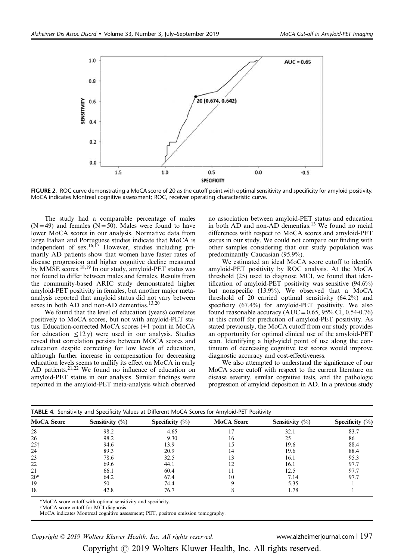<span id="page-3-0"></span>

FIGURE 2. ROC curve demonstrating a MoCA score of 20 as the cutoff point with optimal sensitivity and specificity for amyloid positivity. MoCA indicates Montreal cognitive assessment; ROC, receiver operating characteristic curve.

The study had a comparable percentage of males  $(N = 49)$  and females  $(N = 50)$ . Males were found to have lower MoCA scores in our analysis. Normative data from large Italian and Portuguese studies indicate that MoCA is independent of sex.<sup>[16,17](#page-5-0)</sup> However, studies including primarily AD patients show that women have faster rates of disease progression and higher cognitive decline measured by MMSE scores.<sup>[18,19](#page-5-0)</sup> In our study, amyloid-PET status was not found to differ between males and females. Results from the community-based ARIC study demonstrated higher amyloid-PET positivity in females, but another major metaanalysis reported that amyloid status did not vary between sexes in both AD and non-AD dementias.<sup>[13,20](#page-5-0)</sup>

We found that the level of education (years) correlates positively to MoCA scores, but not with amyloid-PET status. Education-corrected MoCA scores (+1 point in MoCA for education  $\leq 12$  y) were used in our analysis. Studies reveal that correlation persists between MOCA scores and education despite correcting for low levels of education, although further increase in compensation for decreasing education levels seems to nullify its effect on MoCA in early AD patients.<sup>[21,22](#page-5-0)</sup> We found no influence of education on amyloid-PET status in our analysis. Similar findings were reported in the amyloid-PET meta-analysis which observed

no association between amyloid-PET status and education in both AD and non-AD dementias.<sup>[13](#page-5-0)</sup> We found no racial differences with respect to MoCA scores and amyloid-PET status in our study. We could not compare our finding with other samples considering that our study population was predominantly Caucasian (95.9%).

We estimated an ideal MoCA score cutoff to identify amyloid-PET positivity by ROC analysis. At the MoCA threshold (25) used to diagnose MCI, we found that identification of amyloid-PET positivity was sensitive (94.6%) but nonspecific (13.9%). We observed that a MoCA threshold of 20 carried optimal sensitivity (64.2%) and specificity (67.4%) for amyloid-PET positivity. We also found reasonable accuracy (AUC =  $0.65$ ,  $95\%$  CI,  $0.54$ - $0.76$ ) at this cutoff for prediction of amyloid-PET positivity. As stated previously, the MoCA cutoff from our study provides an opportunity for optimal clinical use of the amyloid-PET scan. Identifying a high-yield point of use along the continuum of decreasing cognitive test scores would improve diagnostic accuracy and cost-effectiveness.

We also attempted to understand the significance of our MoCA score cutoff with respect to the current literature on disease severity, similar cognitive tests, and the pathologic progression of amyloid deposition in AD. In a previous study

| MoCA Score      | Sensitivity $(\%)$ | Specificity $(\%)$ | <b>MoCA</b> Score | Sensitivity $(\%)$ | Specificity $(\%)$ |
|-----------------|--------------------|--------------------|-------------------|--------------------|--------------------|
| 28              | 98.2               | 4.65               |                   | 32.1               | 83.7               |
| 26              | 98.2               | 9.30               |                   | 25                 | 86                 |
| 25 <sup>†</sup> | 94.6               | 13.9               |                   | 19.6               | 88.4               |
| 24              | 89.3               | 20.9               | 14                | 19.6               | 88.4               |
| 23              | 78.6               | 32.5               | 13                | 16.1               | 95.3               |
| 22              | 69.6               | 44.1               |                   | 16.1               | 97.7               |
| 21              | 66.1               | 60.4               |                   | 12.5               | 97.7               |
| $20*$           | 64.2               | 67.4               | 10                | 7.14               | 97.7               |
| 19              | 50                 | 74.4               |                   | 5.35               |                    |
| 18              | 42.8               | 76.7               |                   | 1.78               |                    |

\*MoCA score cutoff with optimal sensitivity and specificity.

†MoCA score cutoff for MCI diagnosis.

MoCA indicates Montreal cognitive assessment; PET, positron emission tomography.

Copyright © 2019 Wolters Kluwer Health, Inc. All rights reserved. www.alzheimerjournal.com | 197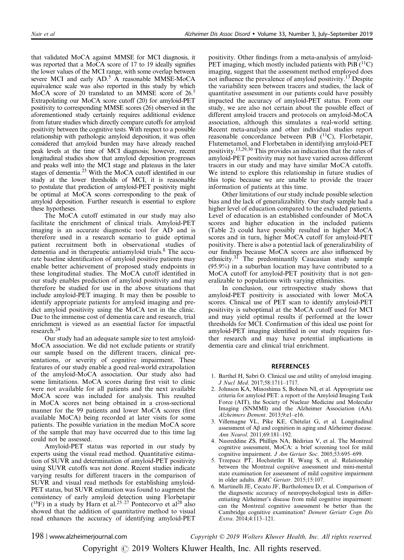<span id="page-4-0"></span>that validated MoCA against MMSE for MCI diagnosis, it was reported that a MoCA score of 17 to 19 ideally signifies the lower values of the MCI range, with some overlap between severe MCI and early  $AD<sup>5</sup>$  A reasonable MMSE-MoCA equivalence scale was also reported in this study by which MoCA score of 20 translated to an MMSE score of 26.<sup>5</sup> Extrapolating our MoCA score cutoff (20) for amyloid-PET positivity to corresponding MMSE scores (26) observed in the aforementioned study certainly requires additional evidence from future studies which directly compare cutoffs for amyloid positivity between the cognitive tests. With respect to a possible relationship with pathologic amyloid deposition, it was often considered that amyloid burden may have already reached peak levels at the time of MCI diagnosis; however, recent longitudinal studies show that amyloid deposition progresses and peaks well into the MCI stage and plateaus in the later stages of dementia[.23](#page-5-0) With the MoCA cutoff identified in our study at the lower thresholds of MCI, it is reasonable to postulate that prediction of amyloid-PET positivity might be optimal at MoCA scores corresponding to the peak of amyloid deposition. Further research is essential to explore these hypotheses.

The MoCA cutoff estimated in our study may also facilitate the enrichment of clinical trials. Amyloid-PET imaging is an accurate diagnostic tool for AD and is therefore used in a research scenario to guide optimal patient recruitment both in observational studies of dementia and in therapeutic antiamyloid trials.[8](#page-5-0) The accurate baseline identification of amyloid positive patients may enable better achievement of proposed study endpoints in these longitudinal studies. The MoCA cutoff identified in our study enables prediction of amyloid positivity and may therefore be studied for use in the above situations that include amyloid-PET imaging. It may then be possible to identify appropriate patients for amyloid imaging and predict amyloid positivity using the MoCA test in the clinic. Due to the immense cost of dementia care and research, trial enrichment is viewed as an essential factor for impactful research.[24](#page-5-0)

Our study had an adequate sample size to test amyloid-MoCA association. We did not exclude patients or stratify our sample based on the different tracers, clinical presentations, or severity of cognitive impairment. These features of our study enable a good real-world extrapolation of the amyloid-MoCA association. Our study also had some limitations. MoCA scores during first visit to clinic were not available for all patients and the next available MoCA score was included for analysis. This resulted in MoCA scores not being obtained in a cross-sectional manner for the 99 patients and lower MoCA scores (first available MoCA) being recorded at later visits for some patients. The possible variation in the median MoCA score of the sample that may have occurred due to this time lag could not be assessed.

Amyloid-PET status was reported in our study by experts using the visual read method. Quantitative estimation of SUVR and determination of amyloid-PET positivity using SUVR cutoffs was not done. Recent studies indicate varying results for different tracers in the comparison of SUVR and visual read methods for establishing amyloid-PET status, but SUVR estimation was found to augment the consistency of early amyloid detection using Florbetapir  $($ <sup>18</sup>F) in a study by Harn et al.<sup>25–[27](#page-5-0)</sup> Pontecorvo et al<sup>[28](#page-5-0)</sup> also showed that the addition of quantitative method to visual read enhances the accuracy of identifying amyloid-PET

positivity. Other findings from a meta-analysis of amyloid-PET imaging, which mostly included patients with PiB  $(^{11}C)$ imaging, suggest that the assessment method employed does not influence the prevalence of amyloid positivity.<sup>[13](#page-5-0)</sup> Despite the variability seen between tracers and studies, the lack of quantitative assessment in our patients could have possibly impacted the accuracy of amyloid-PET status. From our study, we are also not certain about the possible effect of different amyloid tracers and protocols on amyloid-MoCA association, although this simulates a real-world setting. Recent meta-analysis and other individual studies report reasonable concordance between PiB (11C), Florbetapir, Flutemetamol, and Florbetaben in identifying amyloid-PET positivity.[13,29,30](#page-5-0) This provides an indication that the rates of amyloid-PET positivity may not have varied across different tracers in our study and may have similar MoCA cutoffs. We intend to explore this relationship in future studies of this topic because we are unable to provide the tracer information of patients at this time.

Other limitations of our study include possible selection bias and the lack of generalizability. Our study sample had a higher level of education compared to the excluded patients. Level of education is an established confounder of MoCA scores and higher education in the included patients ([Table 2\)](#page-2-0) could have possibly resulted in higher MoCA scores and in turn, higher MoCA cutoff for amyloid-PET positivity. There is also a potential lack of generalizability of our findings because MoCA scores are also influenced by ethnicity.<sup>[31](#page-5-0)</sup> The predominantly Caucasian study sample (95.9%) in a suburban location may have contributed to a MoCA cutoff for amyloid-PET positivity that is not generalizable to populations with varying ethnicities.

In conclusion, our retrospective study shows that amyloid-PET positivity is associated with lower MoCA scores. Clinical use of PET scan to identify amyloid-PET positivity is suboptimal at the MoCA cutoff used for MCI and may yield optimal results if performed at the lower thresholds for MCI. Confirmation of this ideal use point for amyloid-PET imaging identified in our study requires further research and may have potential implications in dementia care and clinical trial enrichment.

### **REFERENCES**

- 1. Barthel H, Sabri O. Clinical use and utility of amyloid imaging. J Nucl Med. 2017;58:1711–1717.
- 2. Johnson KA, Minoshima S, Bohnen NI, et al. Appropriate use criteria for amyloid PET: a report of the Amyloid Imaging Task Force (AIT), the Society of Nuclear Medicine and Molecular Imaging (SNMMI) and the Alzheimer Association (AA). Alzheimers Dement. 2013;9:e1–e16.
- 3. Villemagne VL, Pike KE, Chételat G, et al. Longitudinal assessment of Aβ and cognition in aging and Alzheimer disease. Ann Neurol. 2011;69:181–192.
- 4. Nasreddine ZS, Phillips NA, Bédirian V, et al. The Montreal cognitive assessment, MoCA: a brief screening tool for mild cognitive impairment. J Am Geriatr Soc. 2005;53:695–699.
- 5. Trzepacz PT, Hochstetler H, Wang S, et al. Relationship between the Montreal cognitive assessment and mini-mental state examination for assessment of mild cognitive impairment in older adults. BMC Geriatr. 2015;15:107.
- 6. Martinelli JE, Cecato JF, Bartholomeu D, et al. Comparison of the diagnostic accuracy of neuropsychological tests in differentiating Alzheimer's disease from mild cognitive impairment: can the Montreal cognitive assessment be better than the Cambridge cognitive examination? Dement Geriatr Cogn Dis Extra. 2014;4:113–121.

198 | www.alzheimerjournal.com Copyright © 2019 Wolters Kluwer Health, Inc. All rights reserved.